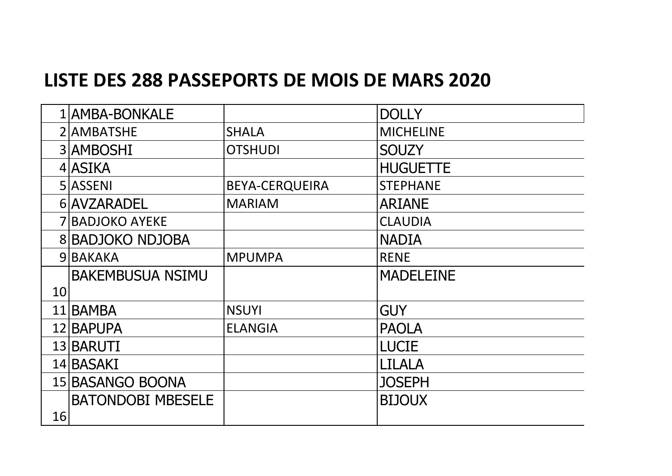## **LISTE DES 288 PASSEPORTS DE MOIS DE MARS 2020**

|    | 1 AMBA-BONKALE           |                       | <b>DOLLY</b>     |
|----|--------------------------|-----------------------|------------------|
|    | 2 AMBATSHE               | <b>SHALA</b>          | <b>MICHELINE</b> |
|    | 3 AMBOSHI                | <b>OTSHUDI</b>        | <b>SOUZY</b>     |
|    | 4 ASIKA                  |                       | <b>HUGUETTE</b>  |
|    | 5 ASSENI                 | <b>BEYA-CERQUEIRA</b> | <b>STEPHANE</b>  |
|    | 6 AVZARADEL              | <b>MARIAM</b>         | <b>ARIANE</b>    |
|    | <b>7 BADJOKO AYEKE</b>   |                       | <b>CLAUDIA</b>   |
|    | <b>8 BADJOKO NDJOBA</b>  |                       | <b>NADIA</b>     |
|    | 9BAKAKA                  | <b>MPUMPA</b>         | <b>RENE</b>      |
|    | <b>BAKEMBUSUA NSIMU</b>  |                       | <b>MADELEINE</b> |
| 10 |                          |                       |                  |
|    | 11 BAMBA                 | <b>NSUYI</b>          | <b>GUY</b>       |
|    | 12 BAPUPA                | <b>ELANGIA</b>        | <b>PAOLA</b>     |
|    | 13 BARUTI                |                       | <b>LUCIE</b>     |
|    | 14 BASAKI                |                       | LILALA           |
|    | 15 BASANGO BOONA         |                       | <b>JOSEPH</b>    |
|    | <b>BATONDOBI MBESELE</b> |                       | <b>BIJOUX</b>    |
| 16 |                          |                       |                  |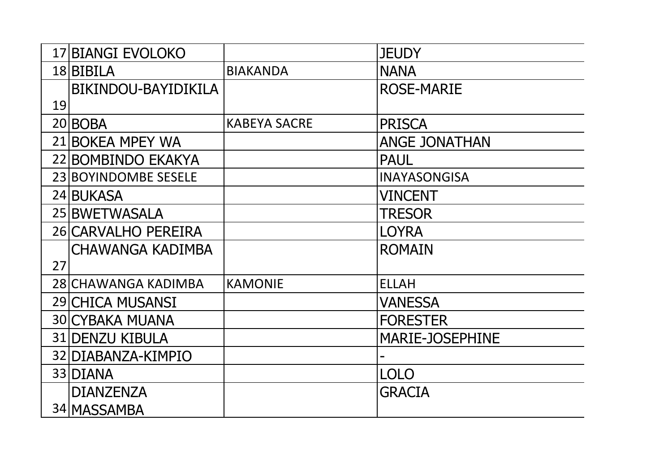|    | 17 BIANGI EVOLOKO       |                     | <b>JEUDY</b>           |
|----|-------------------------|---------------------|------------------------|
|    |                         |                     |                        |
|    | 18 BIBILA               | <b>BIAKANDA</b>     | <b>NANA</b>            |
|    | BIKINDOU-BAYIDIKILA     |                     | <b>ROSE-MARIE</b>      |
| 19 |                         |                     |                        |
|    | 20 BOBA                 | <b>KABEYA SACRE</b> | <b>PRISCA</b>          |
|    | 21 BOKEA MPEY WA        |                     | <b>ANGE JONATHAN</b>   |
|    | 22 BOMBINDO EKAKYA      |                     | <b>PAUL</b>            |
|    | 23 BOYINDOMBE SESELE    |                     | <b>INAYASONGISA</b>    |
|    | 24 BUKASA               |                     | <b>VINCENT</b>         |
|    | 25 BWETWASALA           |                     | <b>TRESOR</b>          |
|    | 26 CARVALHO PEREIRA     |                     | <b>LOYRA</b>           |
|    | <b>CHAWANGA KADIMBA</b> |                     | <b>ROMAIN</b>          |
| 27 |                         |                     |                        |
|    | 28 CHAWANGA KADIMBA     | <b>KAMONIE</b>      | <b>ELLAH</b>           |
|    | 29 CHICA MUSANSI        |                     | VANESSA                |
|    | <b>30 CYBAKA MUANA</b>  |                     | <b>FORESTER</b>        |
|    | 31 DENZU KIBULA         |                     | <b>MARIE-JOSEPHINE</b> |
|    | 32 DIABANZA-KIMPIO      |                     |                        |
|    | 33 DIANA                |                     | <b>LOLO</b>            |
|    | <b>DIANZENZA</b>        |                     | <b>GRACIA</b>          |
|    | 34 MASSAMBA             |                     |                        |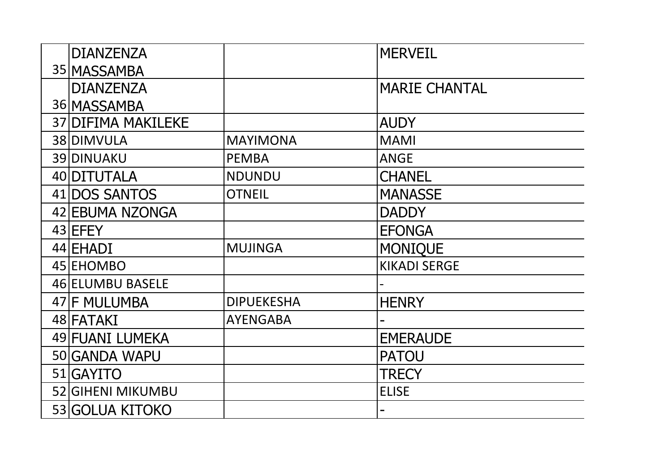| <b>DIANZENZA</b>          |                   | <b>MERVEIL</b>       |
|---------------------------|-------------------|----------------------|
| 35 MASSAMBA               |                   |                      |
| <b>DIANZENZA</b>          |                   | <b>MARIE CHANTAL</b> |
| 36 MASSAMBA               |                   |                      |
| <b>37 DIFIMA MAKILEKE</b> |                   | <b>AUDY</b>          |
| 38 DIMVULA                | <b>MAYIMONA</b>   | <b>MAMI</b>          |
| 39 DINUAKU                | <b>PEMBA</b>      | <b>ANGE</b>          |
| 40 DITUTALA               | <b>NDUNDU</b>     | <b>CHANEL</b>        |
| 41 DOS SANTOS             | <b>OTNEIL</b>     | <b>MANASSE</b>       |
| 42 EBUMA NZONGA           |                   | <b>DADDY</b>         |
| 43 EFEY                   |                   | <b>EFONGA</b>        |
| 44 EHADI                  | <b>MUJINGA</b>    | <b>MONIQUE</b>       |
| 45 EHOMBO                 |                   | <b>KIKADI SERGE</b>  |
| 46 ELUMBU BASELE          |                   |                      |
| 47 F MULUMBA              | <b>DIPUEKESHA</b> | <b>HENRY</b>         |
| 48 FATAKI                 | <b>AYENGABA</b>   |                      |
| 49 FUANI LUMEKA           |                   | <b>EMERAUDE</b>      |
| 50 GANDA WAPU             |                   | <b>PATOU</b>         |
| 51 GAYITO                 |                   | TRECY                |
| 52 GIHENI MIKUMBU         |                   | <b>ELISE</b>         |
| 53 GOLUA KITOKO           |                   |                      |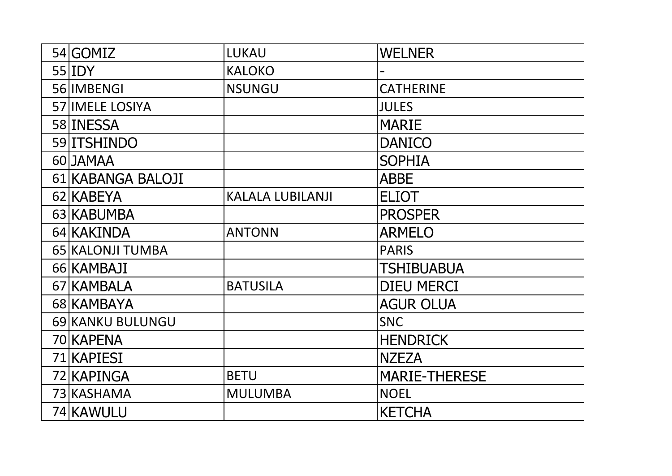| 54 GOMIZ               | <b>LUKAU</b>            | <b>WELNER</b>        |
|------------------------|-------------------------|----------------------|
| $55$  IDY              | <b>KALOKO</b>           |                      |
| 56 IMBENGI             | <b>NSUNGU</b>           | <b>CATHERINE</b>     |
| <b>57 IMELE LOSIYA</b> |                         | <b>JULES</b>         |
| 58 INESSA              |                         | <b>MARIE</b>         |
| 59 <b>ITSHINDO</b>     |                         | <b>DANICO</b>        |
| 60 JAMAA               |                         | <b>SOPHIA</b>        |
| 61 KABANGA BALOJI      |                         | <b>ABBE</b>          |
| 62 KABEYA              | <b>KALALA LUBILANJI</b> | <b>ELIOT</b>         |
| 63 KABUMBA             |                         | <b>PROSPER</b>       |
| 64 KAKINDA             | <b>ANTONN</b>           | <b>ARMELO</b>        |
| 65 KALONJI TUMBA       |                         | <b>PARIS</b>         |
| 66 KAMBAJI             |                         | TSHIBUABUA           |
| 67 KAMBALA             | <b>BATUSILA</b>         | <b>DIEU MERCI</b>    |
| 68 KAMBAYA             |                         | <b>AGUR OLUA</b>     |
| 69 KANKU BULUNGU       |                         | <b>SNC</b>           |
| 70 KAPENA              |                         | <b>HENDRICK</b>      |
| 71 KAPIESI             |                         | <b>NZEZA</b>         |
| 72 KAPINGA             | <b>BETU</b>             | <b>MARIE-THERESE</b> |
| 73 KASHAMA             | <b>MULUMBA</b>          | <b>NOEL</b>          |
| 74 KAWULU              |                         | <b>KETCHA</b>        |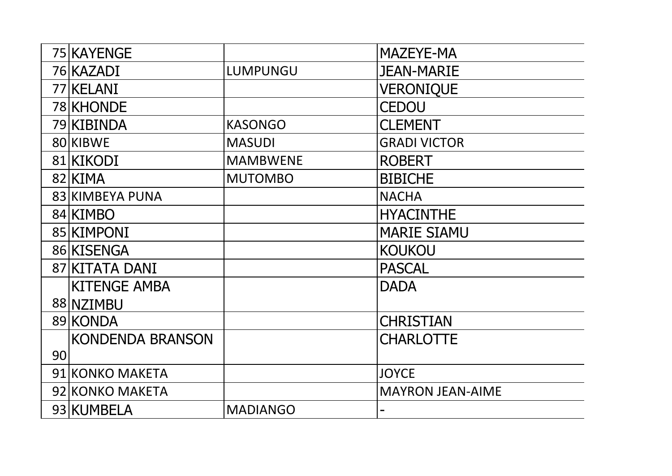|    | 75 KAYENGE              |                 | <b>MAZEYE-MA</b>        |
|----|-------------------------|-----------------|-------------------------|
|    | 76 KAZADI               | LUMPUNGU        | <b>JEAN-MARIE</b>       |
|    | 77 KELANI               |                 | <b>VERONIQUE</b>        |
|    | 78 KHONDE               |                 | CEDOU                   |
|    | 79 KIBINDA              | <b>KASONGO</b>  | <b>CLEMENT</b>          |
|    | 80 KIBWE                | <b>MASUDI</b>   | <b>GRADI VICTOR</b>     |
|    | 81 KIKODI               | <b>MAMBWENE</b> | <b>ROBERT</b>           |
|    | 82 KIMA                 | <b>MUTOMBO</b>  | <b>BIBICHE</b>          |
|    | 83 KIMBEYA PUNA         |                 | <b>NACHA</b>            |
|    | 84 KIMBO                |                 | <b>HYACINTHE</b>        |
|    | 85 KIMPONI              |                 | <b>MARIE SIAMU</b>      |
|    | 86 KISENGA              |                 | <b>KOUKOU</b>           |
|    | 87 KITATA DANI          |                 | <b>PASCAL</b>           |
|    | <b>KITENGE AMBA</b>     |                 | <b>DADA</b>             |
|    | 88 NZIMBU               |                 |                         |
|    | 89 KONDA                |                 | <b>CHRISTIAN</b>        |
|    | <b>KONDENDA BRANSON</b> |                 | <b>CHARLOTTE</b>        |
| 90 |                         |                 |                         |
|    | 91 KONKO MAKETA         |                 | <b>JOYCE</b>            |
|    | 92 KONKO MAKETA         |                 | <b>MAYRON JEAN-AIME</b> |
|    | 93 KUMBELA              | <b>MADIANGO</b> |                         |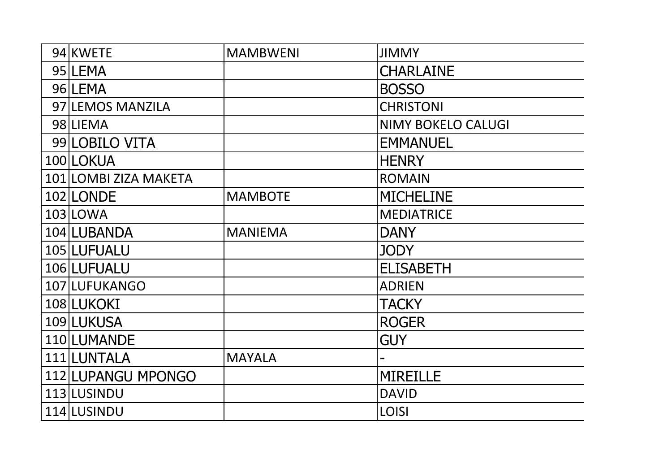| 94 KWETE              | <b>MAMBWENI</b> | <b>JIMMY</b>              |
|-----------------------|-----------------|---------------------------|
| 95 LEMA               |                 | <b>CHARLAINE</b>          |
| 96 LEMA               |                 | <b>BOSSO</b>              |
| 97 LEMOS MANZILA      |                 | <b>CHRISTONI</b>          |
| 98 LIEMA              |                 | <b>NIMY BOKELO CALUGI</b> |
| 99 LOBILO VITA        |                 | <b>EMMANUEL</b>           |
| 100 LOKUA             |                 | <b>HENRY</b>              |
| 101 LOMBI ZIZA MAKETA |                 | <b>ROMAIN</b>             |
| 102 LONDE             | <b>MAMBOTE</b>  | <b>MICHELINE</b>          |
| 103 LOWA              |                 | <b>MEDIATRICE</b>         |
| 104 LUBANDA           | <b>MANIEMA</b>  | <b>DANY</b>               |
| 105 LUFUALU           |                 | <b>JODY</b>               |
| 106 LUFUALU           |                 | <b>ELISABETH</b>          |
| 107 LUFUKANGO         |                 | <b>ADRIEN</b>             |
| 108 LUKOKI            |                 | <b>TACKY</b>              |
| 109 LUKUSA            |                 | <b>ROGER</b>              |
| 110 LUMANDE           |                 | <b>GUY</b>                |
| 111 LUNTALA           | <b>MAYALA</b>   |                           |
| 112 LUPANGU MPONGO    |                 | <b>MIREILLE</b>           |
| 113 LUSINDU           |                 | <b>DAVID</b>              |
| 114 LUSINDU           |                 | <b>LOISI</b>              |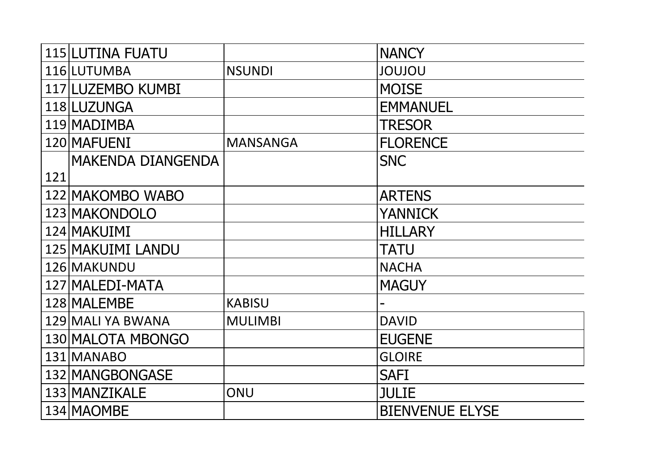|     | <b>115 LUTINA FUATU</b>  |                 | <b>NANCY</b>           |
|-----|--------------------------|-----------------|------------------------|
|     | 116 LUTUMBA              | <b>NSUNDI</b>   | <b>UOLUOL</b>          |
|     | 117 LUZEMBO KUMBI        |                 | <b>MOISE</b>           |
|     | 118 LUZUNGA              |                 | <b>EMMANUEL</b>        |
|     | 119 MADIMBA              |                 | <b>TRESOR</b>          |
|     | 120 MAFUENI              | <b>MANSANGA</b> | <b>FLORENCE</b>        |
|     | <b>MAKENDA DIANGENDA</b> |                 | <b>SNC</b>             |
| 121 |                          |                 |                        |
|     | 122 MAKOMBO WABO         |                 | <b>ARTENS</b>          |
|     | 123 MAKONDOLO            |                 | <b>YANNICK</b>         |
|     | 124 MAKUIMI              |                 | <b>HILLARY</b>         |
|     | 125 MAKUIMI LANDU        |                 | TATU                   |
|     | 126 MAKUNDU              |                 | <b>NACHA</b>           |
|     | 127 MALEDI-MATA          |                 | <b>MAGUY</b>           |
|     | 128 MALEMBE              | <b>KABISU</b>   |                        |
|     | 129 MALI YA BWANA        | <b>MULIMBI</b>  | <b>DAVID</b>           |
|     | 130 MALOTA MBONGO        |                 | <b>EUGENE</b>          |
|     | 131 MANABO               |                 | <b>GLOIRE</b>          |
|     | 132 MANGBONGASE          |                 | <b>SAFI</b>            |
|     | 133 MANZIKALE            | ONU             | <b>JULIE</b>           |
|     | 134 MAOMBE               |                 | <b>BIENVENUE ELYSE</b> |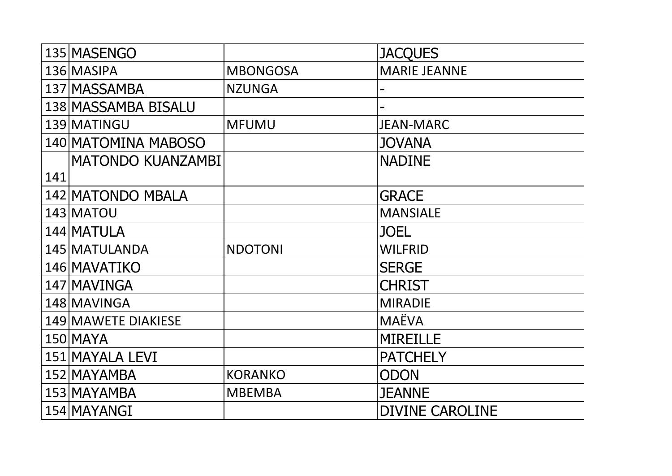|     | 135 MASENGO              |                 | <b>JACQUES</b>         |
|-----|--------------------------|-----------------|------------------------|
|     | 136 MASIPA               | <b>MBONGOSA</b> | <b>MARIE JEANNE</b>    |
|     | 137 MASSAMBA             | <b>NZUNGA</b>   |                        |
|     | 138 MASSAMBA BISALU      |                 |                        |
|     | 139 MATINGU              | <b>MFUMU</b>    | <b>JEAN-MARC</b>       |
|     | 140 MATOMINA MABOSO      |                 | <b>JOVANA</b>          |
|     | <b>MATONDO KUANZAMBI</b> |                 | <b>NADINE</b>          |
| 141 |                          |                 |                        |
|     | 142 MATONDO MBALA        |                 | <b>GRACE</b>           |
|     | 143 MATOU                |                 | <b>MANSIALE</b>        |
|     | 144 MATULA               |                 | <b>JOEL</b>            |
|     | 145 MATULANDA            | <b>NDOTONI</b>  | <b>WILFRID</b>         |
|     | 146 MAVATIKO             |                 | <b>SERGE</b>           |
|     | 147 MAVINGA              |                 | <b>CHRIST</b>          |
|     | 148 MAVINGA              |                 | <b>MIRADIE</b>         |
|     | 149 MAWETE DIAKIESE      |                 | <b>MAËVA</b>           |
|     | 150 MAYA                 |                 | <b>MIREILLE</b>        |
|     | 151 MAYALA LEVI          |                 | <b>PATCHELY</b>        |
|     | 152 MAYAMBA              | <b>KORANKO</b>  | <b>ODON</b>            |
|     | 153 MAYAMBA              | <b>MBEMBA</b>   | <b>JEANNE</b>          |
|     | 154 MAYANGI              |                 | <b>DIVINE CAROLINE</b> |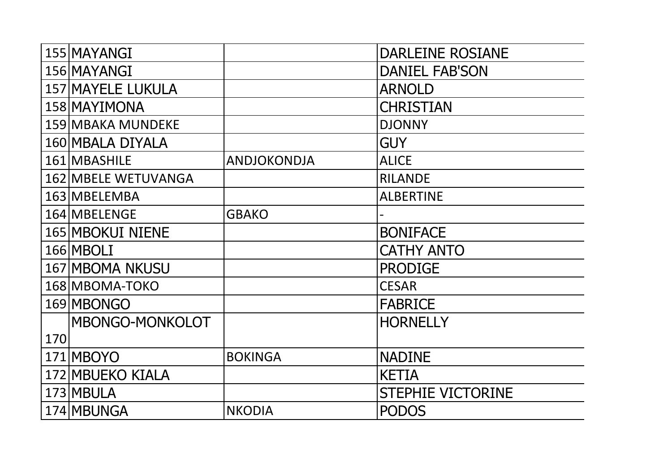|     | 155 MAYANGI                |                | <b>DARLEINE ROSIANE</b>  |
|-----|----------------------------|----------------|--------------------------|
|     | 156 MAYANGI                |                | <b>DANIEL FAB'SON</b>    |
|     | 157 MAYELE LUKULA          |                | <b>ARNOLD</b>            |
|     | 158 MAYIMONA               |                | <b>CHRISTIAN</b>         |
|     | 159 MBAKA MUNDEKE          |                | <b>DJONNY</b>            |
|     | 160 MBALA DIYALA           |                | <b>GUY</b>               |
|     | 161 MBASHILE               | ANDJOKONDJA    | <b>ALICE</b>             |
|     | <b>162 MBELE WETUVANGA</b> |                | <b>RILANDE</b>           |
|     | 163 MBELEMBA               |                | <b>ALBERTINE</b>         |
|     | 164 MBELENGE               | <b>GBAKO</b>   |                          |
|     | 165 MBOKUI NIENE           |                | <b>BONIFACE</b>          |
|     | 166 MBOLI                  |                | <b>CATHY ANTO</b>        |
|     | <b>167 MBOMA NKUSU</b>     |                | <b>PRODIGE</b>           |
|     | 168 MBOMA-TOKO             |                | <b>CESAR</b>             |
|     | 169 MBONGO                 |                | <b>FABRICE</b>           |
|     | MBONGO-MONKOLOT            |                | <b>HORNELLY</b>          |
| 170 |                            |                |                          |
|     | 171 MBOYO                  | <b>BOKINGA</b> | <b>NADINE</b>            |
|     | 172 MBUEKO KIALA           |                | <b>KETIA</b>             |
|     | 173 MBULA                  |                | <b>STEPHIE VICTORINE</b> |
|     | 174 MBUNGA                 | <b>NKODIA</b>  | <b>PODOS</b>             |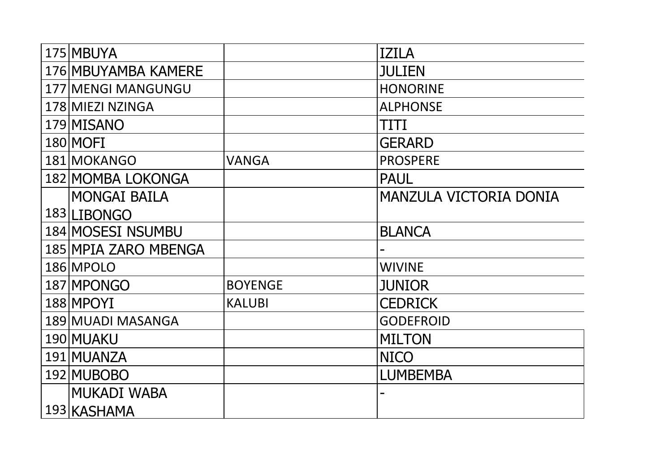| 175 MBUYA            |                | <b>IZILA</b>                  |
|----------------------|----------------|-------------------------------|
|                      |                |                               |
| 176 MBUYAMBA KAMERE  |                | <b>JULIEN</b>                 |
| 177 MENGI MANGUNGU   |                | <b>HONORINE</b>               |
| 178 MIEZI NZINGA     |                | <b>ALPHONSE</b>               |
| 179 MISANO           |                | TITI                          |
| 180 MOFI             |                | <b>GERARD</b>                 |
| 181 MOKANGO          | <b>VANGA</b>   | <b>PROSPERE</b>               |
| 182 MOMBA LOKONGA    |                | <b>PAUL</b>                   |
| <b>MONGAI BAILA</b>  |                | <b>MANZULA VICTORIA DONIA</b> |
| 183 LIBONGO          |                |                               |
| 184 MOSESI NSUMBU    |                | <b>BLANCA</b>                 |
| 185 MPIA ZARO MBENGA |                |                               |
| 186 MPOLO            |                | <b>WIVINE</b>                 |
| 187 MPONGO           | <b>BOYENGE</b> | <b>JUNIOR</b>                 |
| 188 MPOYI            | <b>KALUBI</b>  | <b>CEDRICK</b>                |
| 189 MUADI MASANGA    |                | <b>GODEFROID</b>              |
| 190 MUAKU            |                | <b>MILTON</b>                 |
| 191 MUANZA           |                | <b>NICO</b>                   |
| 192 MUBOBO           |                | <b>LUMBEMBA</b>               |
| <b>MUKADI WABA</b>   |                |                               |
| 193 KASHAMA          |                |                               |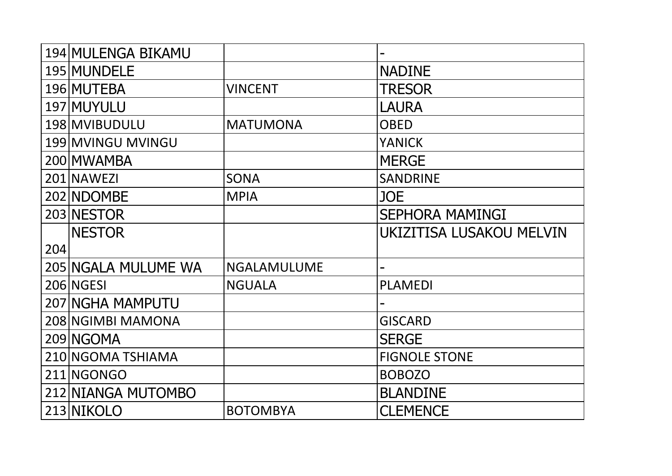|     | 194 MULENGA BIKAMU  |                    |                          |
|-----|---------------------|--------------------|--------------------------|
|     | 195 MUNDELE         |                    | <b>NADINE</b>            |
|     | 196 MUTEBA          | <b>VINCENT</b>     | <b>TRESOR</b>            |
|     | 197 MUYULU          |                    | <b>LAURA</b>             |
|     | 198 MVIBUDULU       | <b>MATUMONA</b>    | <b>OBED</b>              |
|     | 199 MVINGU MVINGU   |                    | <b>YANICK</b>            |
|     | 200 MWAMBA          |                    | <b>MERGE</b>             |
|     | 201 NAWEZI          | <b>SONA</b>        | <b>SANDRINE</b>          |
|     | 202 NDOMBE          | <b>MPIA</b>        | <b>JOE</b>               |
|     | 203 NESTOR          |                    | <b>SEPHORA MAMINGI</b>   |
|     | <b>NESTOR</b>       |                    | UKIZITISA LUSAKOU MELVIN |
| 204 |                     |                    |                          |
|     | 205 NGALA MULUME WA | <b>NGALAMULUME</b> |                          |
|     | 206 NGESI           | <b>NGUALA</b>      | <b>PLAMEDI</b>           |
|     | 207 NGHA MAMPUTU    |                    |                          |
|     | 208 NGIMBI MAMONA   |                    | <b>GISCARD</b>           |
|     | 209 NGOMA           |                    | <b>SERGE</b>             |
|     | 210 NGOMA TSHIAMA   |                    | <b>FIGNOLE STONE</b>     |
|     | 211 NGONGO          |                    | <b>BOBOZO</b>            |
|     | 212 NIANGA MUTOMBO  |                    | <b>BLANDINE</b>          |
|     | 213 NIKOLO          | <b>BOTOMBYA</b>    | <b>CLEMENCE</b>          |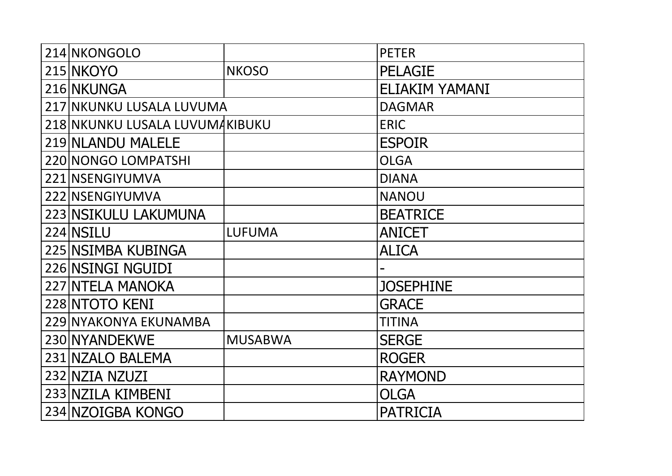| 214 NKONGOLO                   |                | <b>PETER</b>          |
|--------------------------------|----------------|-----------------------|
| 215 NKOYO                      | <b>NKOSO</b>   | <b>PELAGIE</b>        |
| 216 NKUNGA                     |                | <b>ELIAKIM YAMANI</b> |
| 217 NKUNKU LUSALA LUVUMA       |                | <b>DAGMAR</b>         |
| 218 NKUNKU LUSALA LUVUMAKIBUKU |                | <b>ERIC</b>           |
| 219 NLANDU MALELE              |                | <b>ESPOIR</b>         |
| <b>220 NONGO LOMPATSHI</b>     |                | <b>OLGA</b>           |
| 221 NSENGIYUMVA                |                | <b>DIANA</b>          |
| 222 NSENGIYUMVA                |                | <b>NANOU</b>          |
| 223 NSIKULU LAKUMUNA           |                | <b>BEATRICE</b>       |
| 224 NSILU                      | <b>LUFUMA</b>  | <b>ANICET</b>         |
| 225 NSIMBA KUBINGA             |                | <b>ALICA</b>          |
| 226 NSINGI NGUIDI              |                |                       |
| <b>227 NTELA MANOKA</b>        |                | <b>JOSEPHINE</b>      |
| 228 NTOTO KENI                 |                | <b>GRACE</b>          |
| 229 NYAKONYA EKUNAMBA          |                | <b>TITINA</b>         |
| 230 NYANDEKWE                  | <b>MUSABWA</b> | <b>SERGE</b>          |
| 231 NZALO BALEMA               |                | <b>ROGER</b>          |
| 232 NZIA NZUZI                 |                | <b>RAYMOND</b>        |
| 233 NZILA KIMBENI              |                | <b>OLGA</b>           |
| 234 NZOIGBA KONGO              |                | <b>PATRICIA</b>       |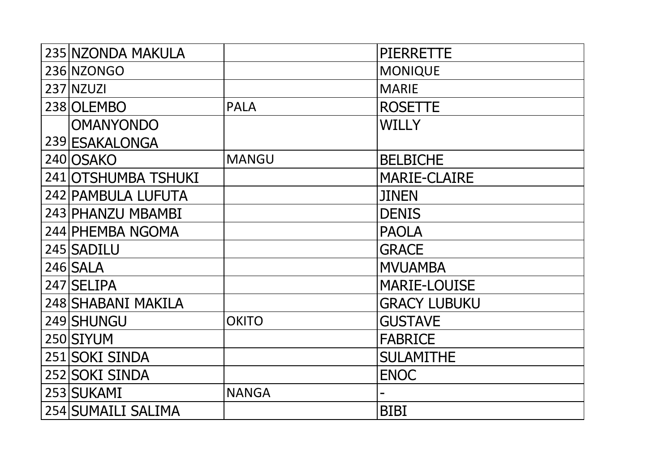| 235 NZONDA MAKULA   |              | <b>PIERRETTE</b>    |
|---------------------|--------------|---------------------|
| 236 NZONGO          |              | <b>MONIQUE</b>      |
| <b>237 NZUZI</b>    |              | <b>MARIE</b>        |
| 238 OLEMBO          | <b>PALA</b>  | <b>ROSETTE</b>      |
| <b>OMANYONDO</b>    |              | <b>WILLY</b>        |
| 239 ESAKALONGA      |              |                     |
| 240 OSAKO           | <b>MANGU</b> | <b>BELBICHE</b>     |
| 241 OTSHUMBA TSHUKI |              | <b>MARIE-CLAIRE</b> |
| 242 PAMBULA LUFUTA  |              | <b>JINEN</b>        |
| 243 PHANZU MBAMBI   |              | <b>DENIS</b>        |
| 244 PHEMBA NGOMA    |              | <b>PAOLA</b>        |
| 245 SADILU          |              | <b>GRACE</b>        |
| 246 SALA            |              | <b>MVUAMBA</b>      |
| 247 SELIPA          |              | <b>MARIE-LOUISE</b> |
| 248 SHABANI MAKILA  |              | <b>GRACY LUBUKU</b> |
| 249 SHUNGU          | <b>OKITO</b> | <b>GUSTAVE</b>      |
| 250 SIYUM           |              | <b>FABRICE</b>      |
| 251 SOKI SINDA      |              | <b>SULAMITHE</b>    |
| 252 SOKI SINDA      |              | <b>ENOC</b>         |
| 253 SUKAMI          | <b>NANGA</b> |                     |
| 254 SUMAILI SALIMA  |              | <b>BIBI</b>         |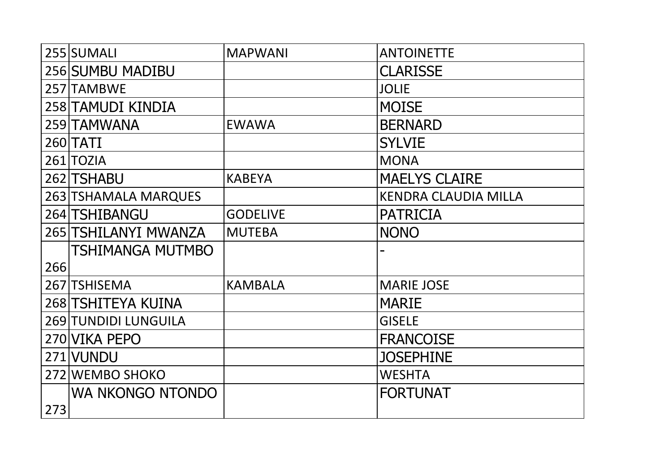|     | 255 SUMALI                  | <b>MAPWANI</b>  | <b>ANTOINETTE</b>           |
|-----|-----------------------------|-----------------|-----------------------------|
|     | 256 SUMBU MADIBU            |                 | <b>CLARISSE</b>             |
|     | 257 TAMBWE                  |                 | <b>JOLIE</b>                |
|     | 258 TAMUDI KINDIA           |                 | <b>MOISE</b>                |
|     | 259 TAMWANA                 | <b>EWAWA</b>    | <b>BERNARD</b>              |
|     | <b>260 TATI</b>             |                 | <b>SYLVIE</b>               |
|     | 261 TOZIA                   |                 | <b>MONA</b>                 |
|     | 262 TSHABU                  | <b>KABEYA</b>   | <b>MAELYS CLAIRE</b>        |
|     | 263 TSHAMALA MARQUES        |                 | <b>KENDRA CLAUDIA MILLA</b> |
|     | 264 TSHIBANGU               | <b>GODELIVE</b> | <b>PATRICIA</b>             |
|     | 265 TSHILANYI MWANZA        | <b>MUTEBA</b>   | <b>NONO</b>                 |
|     | TSHIMANGA MUTMBO            |                 |                             |
| 266 |                             |                 |                             |
|     | 267 TSHISEMA                | <b>KAMBALA</b>  | <b>MARIE JOSE</b>           |
|     | 268 TSHITEYA KUINA          |                 | <b>MARIE</b>                |
|     | <b>269 TUNDIDI LUNGUILA</b> |                 | <b>GISELE</b>               |
|     | 270 VIKA PEPO               |                 | <b>FRANCOISE</b>            |
|     | 271 VUNDU                   |                 | <b>JOSEPHINE</b>            |
|     | 272 WEMBO SHOKO             |                 | <b>WESHTA</b>               |
|     | WA NKONGO NTONDO            |                 | <b>FORTUNAT</b>             |
| 273 |                             |                 |                             |